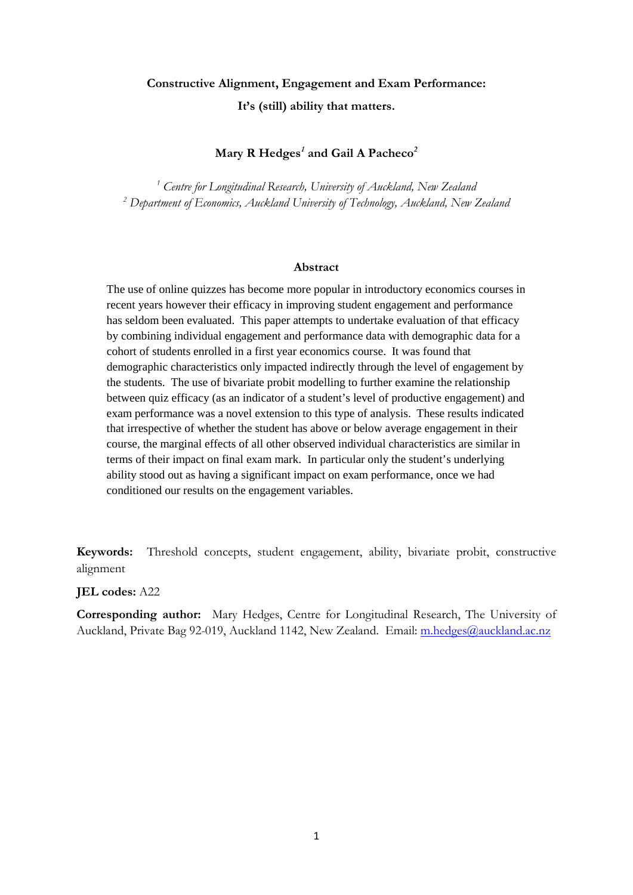# **Constructive Alignment, Engagement and Exam Performance: It's (still) ability that matters.**

# **Mary R Hedges***<sup>1</sup>* **and Gail A Pacheco***<sup>2</sup>*

*<sup>1</sup> Centre for Longitudinal Research, University of Auckland, New Zealand <sup>2</sup> Department of Economics, Auckland University of Technology, Auckland, New Zealand*

### **Abstract**

The use of online quizzes has become more popular in introductory economics courses in recent years however their efficacy in improving student engagement and performance has seldom been evaluated. This paper attempts to undertake evaluation of that efficacy by combining individual engagement and performance data with demographic data for a cohort of students enrolled in a first year economics course. It was found that demographic characteristics only impacted indirectly through the level of engagement by the students. The use of bivariate probit modelling to further examine the relationship between quiz efficacy (as an indicator of a student's level of productive engagement) and exam performance was a novel extension to this type of analysis. These results indicated that irrespective of whether the student has above or below average engagement in their course, the marginal effects of all other observed individual characteristics are similar in terms of their impact on final exam mark. In particular only the student's underlying ability stood out as having a significant impact on exam performance, once we had conditioned our results on the engagement variables.

**Keywords:** Threshold concepts, student engagement, ability, bivariate probit, constructive alignment

### **JEL codes:** A22

**Corresponding author:** Mary Hedges, Centre for Longitudinal Research, The University of Auckland, Private Bag 92-019, Auckland 1142, New Zealand. Email: [m.hedges@auckland.ac.nz](mailto:m.hedges@auckland.ac.nz)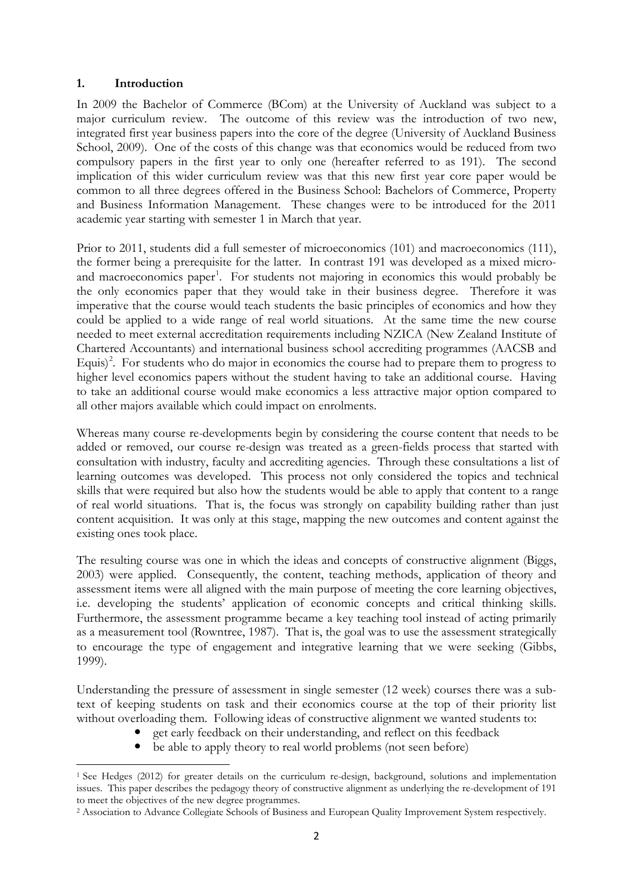### **1. Introduction**

<u>.</u>

In 2009 the Bachelor of Commerce (BCom) at the University of Auckland was subject to a major curriculum review. The outcome of this review was the introduction of two new, integrated first year business papers into the core of the degree [\(University of Auckland Business](#page-14-0)  [School, 2009\)](#page-14-0). One of the costs of this change was that economics would be reduced from two compulsory papers in the first year to only one (hereafter referred to as 191). The second implication of this wider curriculum review was that this new first year core paper would be common to all three degrees offered in the Business School: Bachelors of Commerce, Property and Business Information Management. These changes were to be introduced for the 2011 academic year starting with semester 1 in March that year.

Prior to 2011, students did a full semester of microeconomics (101) and macroeconomics (111), the former being a prerequisite for the latter. In contrast 191 was developed as a mixed micro-and macroeconomics paper<sup>[1](#page-1-0)</sup>. For students not majoring in economics this would probably be the only economics paper that they would take in their business degree. Therefore it was imperative that the course would teach students the basic principles of economics and how they could be applied to a wide range of real world situations. At the same time the new course needed to meet external accreditation requirements including NZICA (New Zealand Institute of Chartered Accountants) and international business school accrediting programmes (AACSB and Equis)<sup>[2](#page-1-1)</sup>. For students who do major in economics the course had to prepare them to progress to higher level economics papers without the student having to take an additional course. Having to take an additional course would make economics a less attractive major option compared to all other majors available which could impact on enrolments.

Whereas many course re-developments begin by considering the course content that needs to be added or removed, our course re-design was treated as a green-fields process that started with consultation with industry, faculty and accrediting agencies. Through these consultations a list of learning outcomes was developed. This process not only considered the topics and technical skills that were required but also how the students would be able to apply that content to a range of real world situations. That is, the focus was strongly on capability building rather than just content acquisition. It was only at this stage, mapping the new outcomes and content against the existing ones took place.

The resulting course was one in which the ideas and concepts of constructive alignment [\(Biggs,](#page-13-0)  [2003\)](#page-13-0) were applied. Consequently, the content, teaching methods, application of theory and assessment items were all aligned with the main purpose of meeting the core learning objectives, i.e. developing the students' application of economic concepts and critical thinking skills. Furthermore, the assessment programme became a key teaching tool instead of acting primarily as a measurement tool [\(Rowntree, 1987\)](#page-14-1). That is, the goal was to use the assessment strategically to encourage the type of engagement and integrative learning that we were seeking [\(Gibbs,](#page-13-1)  [1999\)](#page-13-1).

Understanding the pressure of assessment in single semester (12 week) courses there was a subtext of keeping students on task and their economics course at the top of their priority list without overloading them. Following ideas of constructive alignment we wanted students to:

- get early feedback on their understanding, and reflect on this feedback
- be able to apply theory to real world problems (not seen before)

<span id="page-1-1"></span><sup>2</sup> Association to Advance Collegiate Schools of Business and European Quality Improvement System respectively.

<span id="page-1-0"></span><sup>1</sup> See Hedges (2012) for greater details on the curriculum re-design, background, solutions and implementation issues. This paper describes the pedagogy theory of constructive alignment as underlying the re-development of 191 to meet the objectives of the new degree programmes.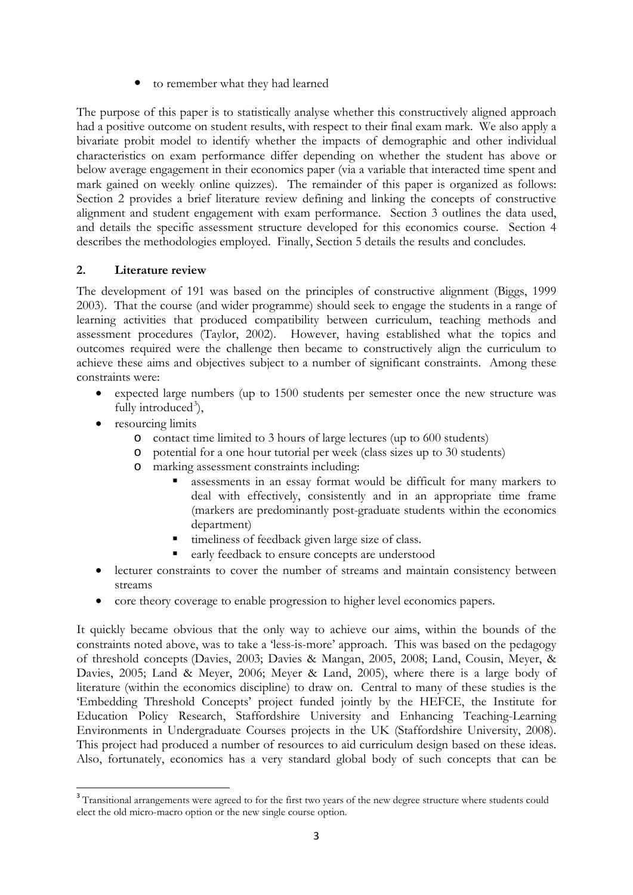to remember what they had learned

The purpose of this paper is to statistically analyse whether this constructively aligned approach had a positive outcome on student results, with respect to their final exam mark. We also apply a bivariate probit model to identify whether the impacts of demographic and other individual characteristics on exam performance differ depending on whether the student has above or below average engagement in their economics paper (via a variable that interacted time spent and mark gained on weekly online quizzes). The remainder of this paper is organized as follows: Section 2 provides a brief literature review defining and linking the concepts of constructive alignment and student engagement with exam performance. Section 3 outlines the data used, and details the specific assessment structure developed for this economics course. Section 4 describes the methodologies employed. Finally, Section 5 details the results and concludes.

# **2. Literature review**

The development of 191 was based on the principles of constructive alignment [\(Biggs, 1999](#page-13-2)  [2003\)](#page-13-2). That the course (and wider programme) should seek to engage the students in a range of learning activities that produced compatibility between curriculum, teaching methods and assessment procedures [\(Taylor, 2002\)](#page-14-2). However, having established what the topics and outcomes required were the challenge then became to constructively align the curriculum to achieve these aims and objectives subject to a number of significant constraints. Among these constraints were:

- expected large numbers (up to 1500 students per semester once the new structure was fully introduced<sup>[3](#page-2-0)</sup>),
- resourcing limits
	- o contact time limited to 3 hours of large lectures (up to 600 students)
	- o potential for a one hour tutorial per week (class sizes up to 30 students)
	- o marking assessment constraints including:
		- assessments in an essay format would be difficult for many markers to deal with effectively, consistently and in an appropriate time frame (markers are predominantly post-graduate students within the economics department)
		- timeliness of feedback given large size of class.
		- early feedback to ensure concepts are understood
- lecturer constraints to cover the number of streams and maintain consistency between streams
- core theory coverage to enable progression to higher level economics papers.

It quickly became obvious that the only way to achieve our aims, within the bounds of the constraints noted above, was to take a 'less-is-more' approach. This was based on the pedagogy of threshold concepts [\(Davies, 2003;](#page-13-3) [Davies & Mangan, 2005,](#page-13-4) [2008;](#page-13-5) [Land, Cousin, Meyer, &](#page-14-3)  [Davies, 2005;](#page-14-3) [Land & Meyer, 2006;](#page-14-4) [Meyer & Land, 2005\)](#page-14-5), where there is a large body of literature (within the economics discipline) to draw on. Central to many of these studies is the 'Embedding Threshold Concepts' project funded jointly by the HEFCE, the Institute for Education Policy Research, Staffordshire University and Enhancing Teaching-Learning Environments in Undergraduate Courses projects in the UK [\(Staffordshire University, 2008\)](#page-14-6). This project had produced a number of resources to aid curriculum design based on these ideas. Also, fortunately, economics has a very standard global body of such concepts that can be

<span id="page-2-0"></span><sup>&</sup>lt;sup>3</sup> Transitional arrangements were agreed to for the first two years of the new degree structure where students could elect the old micro-macro option or the new single course option.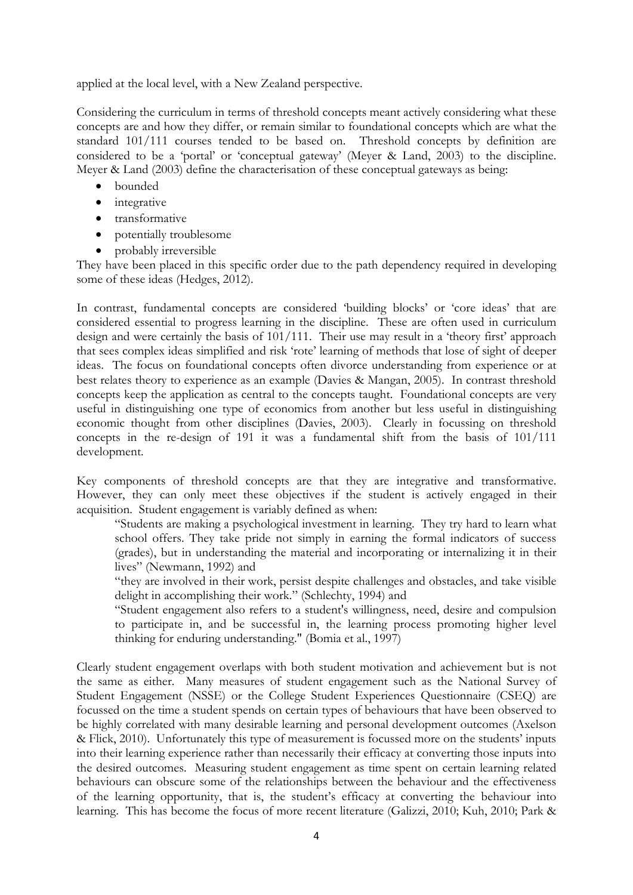applied at the local level, with a New Zealand perspective.

Considering the curriculum in terms of threshold concepts meant actively considering what these concepts are and how they differ, or remain similar to foundational concepts which are what the standard 101/111 courses tended to be based on. Threshold concepts by definition are considered to be a 'portal' or 'conceptual gateway' [\(Meyer & Land, 2003\)](#page-14-7) to the discipline. Meyer & Land (2003) define the characterisation of these conceptual gateways as being:

- bounded
- integrative
- transformative
- potentially troublesome
- probably irreversible

They have been placed in this specific order due to the path dependency required in developing some of these ideas (Hedges, 2012).

In contrast, fundamental concepts are considered 'building blocks' or 'core ideas' that are considered essential to progress learning in the discipline. These are often used in curriculum design and were certainly the basis of 101/111. Their use may result in a 'theory first' approach that sees complex ideas simplified and risk 'rote' learning of methods that lose of sight of deeper ideas. The focus on foundational concepts often divorce understanding from experience or at best relates theory to experience as an example [\(Davies & Mangan, 2005\)](#page-13-4). In contrast threshold concepts keep the application as central to the concepts taught. Foundational concepts are very useful in distinguishing one type of economics from another but less useful in distinguishing economic thought from other disciplines [\(Davies, 2003\)](#page-13-3). Clearly in focussing on threshold concepts in the re-design of 191 it was a fundamental shift from the basis of 101/111 development.

Key components of threshold concepts are that they are integrative and transformative. However, they can only meet these objectives if the student is actively engaged in their acquisition. Student engagement is variably defined as when:

"Students are making a psychological investment in learning. They try hard to learn what school offers. They take pride not simply in earning the formal indicators of success (grades), but in understanding the material and incorporating or internalizing it in their lives" [\(Newmann, 1992\)](#page-14-8) and

"they are involved in their work, persist despite challenges and obstacles, and take visible delight in accomplishing their work." [\(Schlechty, 1994\)](#page-14-9) and

"Student engagement also refers to a student's willingness, need, desire and compulsion to participate in, and be successful in, the learning process promoting higher level thinking for enduring understanding." [\(Bomia et al., 1997\)](#page-13-6)

Clearly student engagement overlaps with both student motivation and achievement but is not the same as either. Many measures of student engagement such as the National Survey of Student Engagement (NSSE) or the College Student Experiences Questionnaire (CSEQ) are focussed on the time a student spends on certain types of behaviours that have been observed to be highly correlated with many desirable learning and personal development outcomes [\(Axelson](#page-13-7)  [& Flick, 2010\)](#page-13-7). Unfortunately this type of measurement is focussed more on the students' inputs into their learning experience rather than necessarily their efficacy at converting those inputs into the desired outcomes. Measuring student engagement as time spent on certain learning related behaviours can obscure some of the relationships between the behaviour and the effectiveness of the learning opportunity, that is, the student's efficacy at converting the behaviour into learning. This has become the focus of more recent literature [\(Galizzi, 2010;](#page-13-8) [Kuh, 2010;](#page-14-10) [Park &](#page-14-11)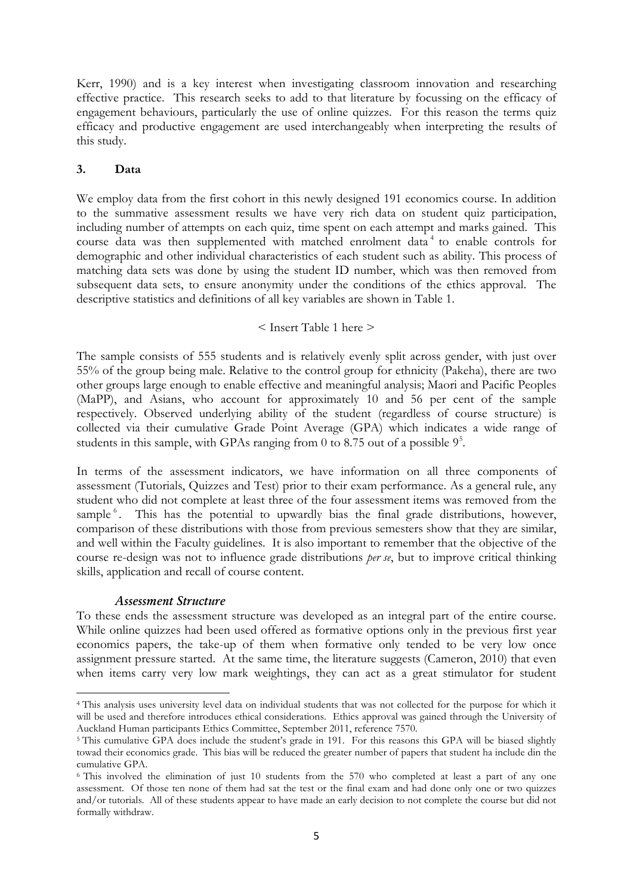Kerr, 1990) and is a key interest when investigating classroom innovation and researching effective practice. This research seeks to add to that literature by focussing on the efficacy of engagement behaviours, particularly the use of online quizzes. For this reason the terms quiz efficacy and productive engagement are used interchangeably when interpreting the results of this study.

# **3. Data**

We employ data from the first cohort in this newly designed 191 economics course. In addition to the summative assessment results we have very rich data on student quiz participation, including number of attempts on each quiz, time spent on each attempt and marks gained. This course data was then supplemented with matched enrolment data<sup>[4](#page-4-0)</sup> to enable controls for demographic and other individual characteristics of each student such as ability. This process of matching data sets was done by using the student ID number, which was then removed from subsequent data sets, to ensure anonymity under the conditions of the ethics approval. The descriptive statistics and definitions of all key variables are shown in Table 1.

# < Insert Table 1 here >

The sample consists of 555 students and is relatively evenly split across gender, with just over 55% of the group being male. Relative to the control group for ethnicity (Pakeha), there are two other groups large enough to enable effective and meaningful analysis; Maori and Pacific Peoples (MaPP), and Asians, who account for approximately 10 and 56 per cent of the sample respectively. Observed underlying ability of the student (regardless of course structure) is collected via their cumulative Grade Point Average (GPA) which indicates a wide range of students in this sample, with GPAs ranging from 0 to 8.7[5](#page-4-1) out of a possible  $9<sup>5</sup>$ .

In terms of the assessment indicators, we have information on all three components of assessment (Tutorials, Quizzes and Test) prior to their exam performance. As a general rule, any student who did not complete at least three of the four assessment items was removed from the sample<sup>[6](#page-4-2)</sup>. This has the potential to upwardly bias the final grade distributions, however, comparison of these distributions with those from previous semesters show that they are similar, and well within the Faculty guidelines. It is also important to remember that the objective of the course re-design was not to influence grade distributions *per se*, but to improve critical thinking skills, application and recall of course content.

# *Assessment Structure*

<u>.</u>

To these ends the assessment structure was developed as an integral part of the entire course. While online quizzes had been used offered as formative options only in the previous first year economics papers, the take-up of them when formative only tended to be very low once assignment pressure started. At the same time, the literature suggests [\(Cameron, 2010\)](#page-13-9) that even when items carry very low mark weightings, they can act as a great stimulator for student

<span id="page-4-0"></span><sup>4</sup> This analysis uses university level data on individual students that was not collected for the purpose for which it will be used and therefore introduces ethical considerations. Ethics approval was gained through the University of Auckland Human participants Ethics Committee, September 2011, reference 7570.

<span id="page-4-1"></span><sup>&</sup>lt;sup>5</sup> This cumulative GPA does include the student's grade in 191. For this reasons this GPA will be biased slightly towad their economics grade. This bias will be reduced the greater number of papers that student ha include din the cumulative GPA.

<span id="page-4-2"></span><sup>6</sup> This involved the elimination of just 10 students from the 570 who completed at least a part of any one assessment. Of those ten none of them had sat the test or the final exam and had done only one or two quizzes and/or tutorials. All of these students appear to have made an early decision to not complete the course but did not formally withdraw.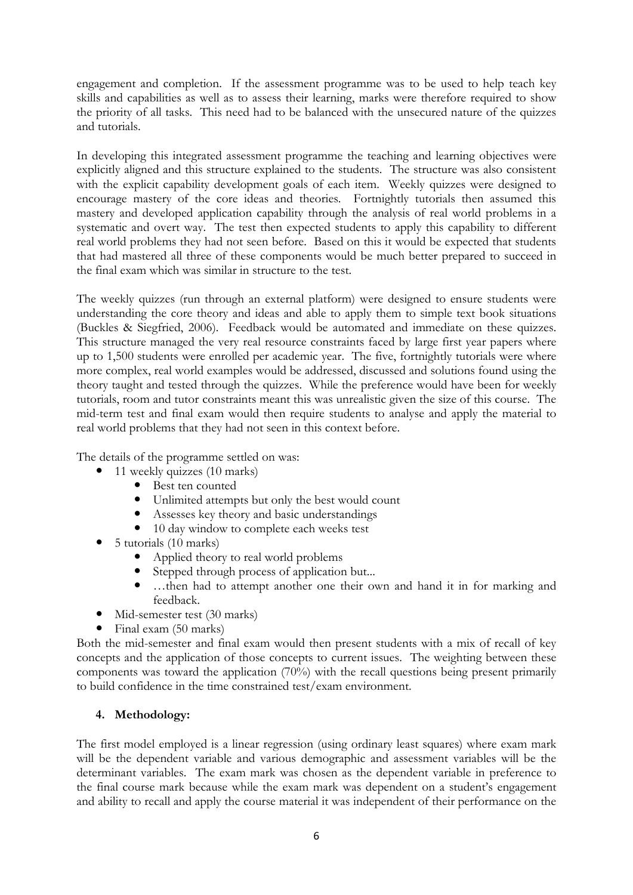engagement and completion. If the assessment programme was to be used to help teach key skills and capabilities as well as to assess their learning, marks were therefore required to show the priority of all tasks. This need had to be balanced with the unsecured nature of the quizzes and tutorials.

In developing this integrated assessment programme the teaching and learning objectives were explicitly aligned and this structure explained to the students. The structure was also consistent with the explicit capability development goals of each item. Weekly quizzes were designed to encourage mastery of the core ideas and theories. Fortnightly tutorials then assumed this mastery and developed application capability through the analysis of real world problems in a systematic and overt way. The test then expected students to apply this capability to different real world problems they had not seen before. Based on this it would be expected that students that had mastered all three of these components would be much better prepared to succeed in the final exam which was similar in structure to the test.

The weekly quizzes (run through an external platform) were designed to ensure students were understanding the core theory and ideas and able to apply them to simple text book situations [\(Buckles & Siegfried, 2006\)](#page-13-10). Feedback would be automated and immediate on these quizzes. This structure managed the very real resource constraints faced by large first year papers where up to 1,500 students were enrolled per academic year. The five, fortnightly tutorials were where more complex, real world examples would be addressed, discussed and solutions found using the theory taught and tested through the quizzes. While the preference would have been for weekly tutorials, room and tutor constraints meant this was unrealistic given the size of this course. The mid-term test and final exam would then require students to analyse and apply the material to real world problems that they had not seen in this context before.

The details of the programme settled on was:

- 11 weekly quizzes (10 marks)
	- Best ten counted
	- Unlimited attempts but only the best would count
	- Assesses key theory and basic understandings
	- 10 day window to complete each weeks test
- $\bullet$  5 tutorials (10 marks)
	- Applied theory to real world problems
	- Stepped through process of application but...
	- …then had to attempt another one their own and hand it in for marking and feedback.
- Mid-semester test (30 marks)
- Final exam (50 marks)

Both the mid-semester and final exam would then present students with a mix of recall of key concepts and the application of those concepts to current issues. The weighting between these components was toward the application (70%) with the recall questions being present primarily to build confidence in the time constrained test/exam environment.

# **4. Methodology:**

The first model employed is a linear regression (using ordinary least squares) where exam mark will be the dependent variable and various demographic and assessment variables will be the determinant variables. The exam mark was chosen as the dependent variable in preference to the final course mark because while the exam mark was dependent on a student's engagement and ability to recall and apply the course material it was independent of their performance on the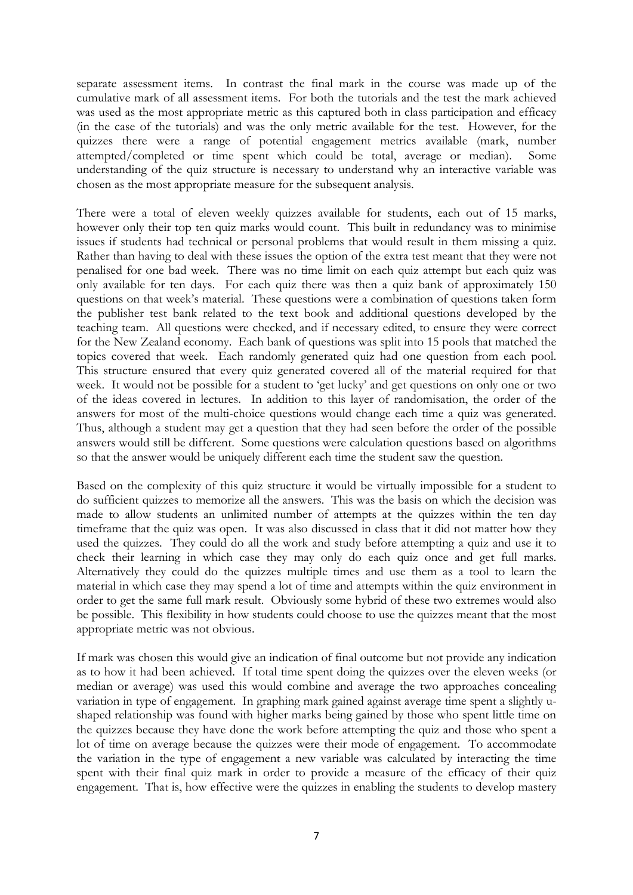separate assessment items. In contrast the final mark in the course was made up of the cumulative mark of all assessment items. For both the tutorials and the test the mark achieved was used as the most appropriate metric as this captured both in class participation and efficacy (in the case of the tutorials) and was the only metric available for the test. However, for the quizzes there were a range of potential engagement metrics available (mark, number attempted/completed or time spent which could be total, average or median). Some understanding of the quiz structure is necessary to understand why an interactive variable was chosen as the most appropriate measure for the subsequent analysis.

There were a total of eleven weekly quizzes available for students, each out of 15 marks, however only their top ten quiz marks would count. This built in redundancy was to minimise issues if students had technical or personal problems that would result in them missing a quiz. Rather than having to deal with these issues the option of the extra test meant that they were not penalised for one bad week. There was no time limit on each quiz attempt but each quiz was only available for ten days. For each quiz there was then a quiz bank of approximately 150 questions on that week's material. These questions were a combination of questions taken form the publisher test bank related to the text book and additional questions developed by the teaching team. All questions were checked, and if necessary edited, to ensure they were correct for the New Zealand economy. Each bank of questions was split into 15 pools that matched the topics covered that week. Each randomly generated quiz had one question from each pool. This structure ensured that every quiz generated covered all of the material required for that week. It would not be possible for a student to 'get lucky' and get questions on only one or two of the ideas covered in lectures. In addition to this layer of randomisation, the order of the answers for most of the multi-choice questions would change each time a quiz was generated. Thus, although a student may get a question that they had seen before the order of the possible answers would still be different. Some questions were calculation questions based on algorithms so that the answer would be uniquely different each time the student saw the question.

Based on the complexity of this quiz structure it would be virtually impossible for a student to do sufficient quizzes to memorize all the answers. This was the basis on which the decision was made to allow students an unlimited number of attempts at the quizzes within the ten day timeframe that the quiz was open. It was also discussed in class that it did not matter how they used the quizzes. They could do all the work and study before attempting a quiz and use it to check their learning in which case they may only do each quiz once and get full marks. Alternatively they could do the quizzes multiple times and use them as a tool to learn the material in which case they may spend a lot of time and attempts within the quiz environment in order to get the same full mark result. Obviously some hybrid of these two extremes would also be possible. This flexibility in how students could choose to use the quizzes meant that the most appropriate metric was not obvious.

If mark was chosen this would give an indication of final outcome but not provide any indication as to how it had been achieved. If total time spent doing the quizzes over the eleven weeks (or median or average) was used this would combine and average the two approaches concealing variation in type of engagement. In graphing mark gained against average time spent a slightly ushaped relationship was found with higher marks being gained by those who spent little time on the quizzes because they have done the work before attempting the quiz and those who spent a lot of time on average because the quizzes were their mode of engagement. To accommodate the variation in the type of engagement a new variable was calculated by interacting the time spent with their final quiz mark in order to provide a measure of the efficacy of their quiz engagement. That is, how effective were the quizzes in enabling the students to develop mastery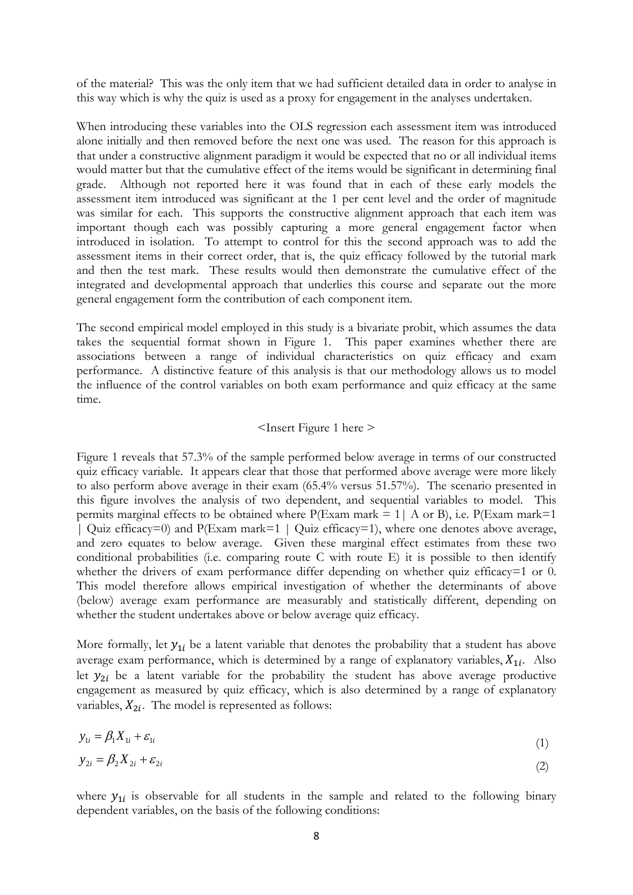of the material? This was the only item that we had sufficient detailed data in order to analyse in this way which is why the quiz is used as a proxy for engagement in the analyses undertaken.

When introducing these variables into the OLS regression each assessment item was introduced alone initially and then removed before the next one was used. The reason for this approach is that under a constructive alignment paradigm it would be expected that no or all individual items would matter but that the cumulative effect of the items would be significant in determining final grade. Although not reported here it was found that in each of these early models the assessment item introduced was significant at the 1 per cent level and the order of magnitude was similar for each. This supports the constructive alignment approach that each item was important though each was possibly capturing a more general engagement factor when introduced in isolation. To attempt to control for this the second approach was to add the assessment items in their correct order, that is, the quiz efficacy followed by the tutorial mark and then the test mark. These results would then demonstrate the cumulative effect of the integrated and developmental approach that underlies this course and separate out the more general engagement form the contribution of each component item.

The second empirical model employed in this study is a bivariate probit, which assumes the data takes the sequential format shown in Figure 1. This paper examines whether there are associations between a range of individual characteristics on quiz efficacy and exam performance. A distinctive feature of this analysis is that our methodology allows us to model the influence of the control variables on both exam performance and quiz efficacy at the same time.

### <Insert Figure 1 here >

Figure 1 reveals that 57.3% of the sample performed below average in terms of our constructed quiz efficacy variable. It appears clear that those that performed above average were more likely to also perform above average in their exam (65.4% versus 51.57%). The scenario presented in this figure involves the analysis of two dependent, and sequential variables to model. This permits marginal effects to be obtained where  $P(Exam mark = 1 | A or B)$ , i.e.  $P(Exam mark = 1$ | Quiz efficacy=0) and P(Exam mark=1 | Quiz efficacy=1), where one denotes above average, and zero equates to below average. Given these marginal effect estimates from these two conditional probabilities (i.e. comparing route C with route E) it is possible to then identify whether the drivers of exam performance differ depending on whether quiz efficacy=1 or 0. This model therefore allows empirical investigation of whether the determinants of above (below) average exam performance are measurably and statistically different, depending on whether the student undertakes above or below average quiz efficacy.

More formally, let  $y_{1i}$  be a latent variable that denotes the probability that a student has above average exam performance, which is determined by a range of explanatory variables,  $X_{1i}$ . Also let  $y_{2i}$  be a latent variable for the probability the student has above average productive engagement as measured by quiz efficacy, which is also determined by a range of explanatory variables,  $X_{2i}$ . The model is represented as follows:

$$
y_{1i} = \beta_1 X_{1i} + \varepsilon_{1i} \tag{1}
$$

$$
y_{2i} = \beta_2 X_{2i} + \varepsilon_{2i} \tag{2}
$$

where  $y_{1i}$  is observable for all students in the sample and related to the following binary dependent variables, on the basis of the following conditions: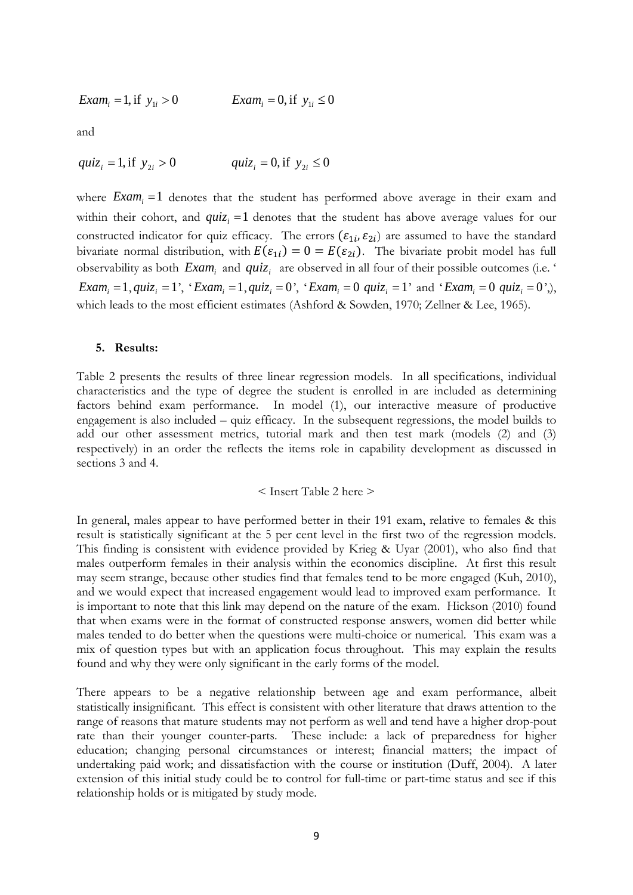$$
Exam_i = 1, \text{ if } y_{1i} > 0 \qquad \qquad Exam_i = 0, \text{ if } y_{1i} \le 0
$$

and

$$
qui_{z_i} = 1, \text{if } y_{2i} > 0 \qquad \qquad qui_{z_i} = 0, \text{if } y_{2i} \le 0
$$

where  $Exam_i = 1$  denotes that the student has performed above average in their exam and within their cohort, and  $quiz_i = 1$  denotes that the student has above average values for our constructed indicator for quiz efficacy. The errors  $(\varepsilon_{1i}, \varepsilon_{2i})$  are assumed to have the standard bivariate normal distribution, with  $E(\varepsilon_{1i}) = 0 = E(\varepsilon_{2i})$ . The bivariate probit model has full observability as both  $Exam_i$  and  $quiz_i$  are observed in all four of their possible outcomes (i.e. '  $Exam_i = 1$ ,  $quiz_i = 1$ ', ' $Exam_i = 1$ ,  $quiz_i = 0$ ', ' $Exam_i = 0$   $quiz_i = 1$ ' and ' $Exam_i = 0$   $quiz_i = 0$ ',), which leads to the most efficient estimates [\(Ashford & Sowden, 1970;](#page-13-11) [Zellner & Lee, 1965\)](#page-14-12).

#### **5. Results:**

Table 2 presents the results of three linear regression models. In all specifications, individual characteristics and the type of degree the student is enrolled in are included as determining factors behind exam performance. In model (1), our interactive measure of productive engagement is also included – quiz efficacy. In the subsequent regressions, the model builds to add our other assessment metrics, tutorial mark and then test mark (models (2) and (3) respectively) in an order the reflects the items role in capability development as discussed in sections 3 and 4.

#### < Insert Table 2 here >

In general, males appear to have performed better in their 191 exam, relative to females & this result is statistically significant at the 5 per cent level in the first two of the regression models. This finding is consistent with evidence provided by Krieg & Uyar (2001), who also find that males outperform females in their analysis within the economics discipline. At first this result may seem strange, because other studies find that females tend to be more engaged (Kuh, 2010), and we would expect that increased engagement would lead to improved exam performance. It is important to note that this link may depend on the nature of the exam. Hickson (2010) found that when exams were in the format of constructed response answers, women did better while males tended to do better when the questions were multi-choice or numerical. This exam was a mix of question types but with an application focus throughout. This may explain the results found and why they were only significant in the early forms of the model.

There appears to be a negative relationship between age and exam performance, albeit statistically insignificant. This effect is consistent with other literature that draws attention to the range of reasons that mature students may not perform as well and tend have a higher drop-pout rate than their younger counter-parts. These include: a lack of preparedness for higher education; changing personal circumstances or interest; financial matters; the impact of undertaking paid work; and dissatisfaction with the course or institution [\(Duff, 2004\)](#page-13-12). A later extension of this initial study could be to control for full-time or part-time status and see if this relationship holds or is mitigated by study mode.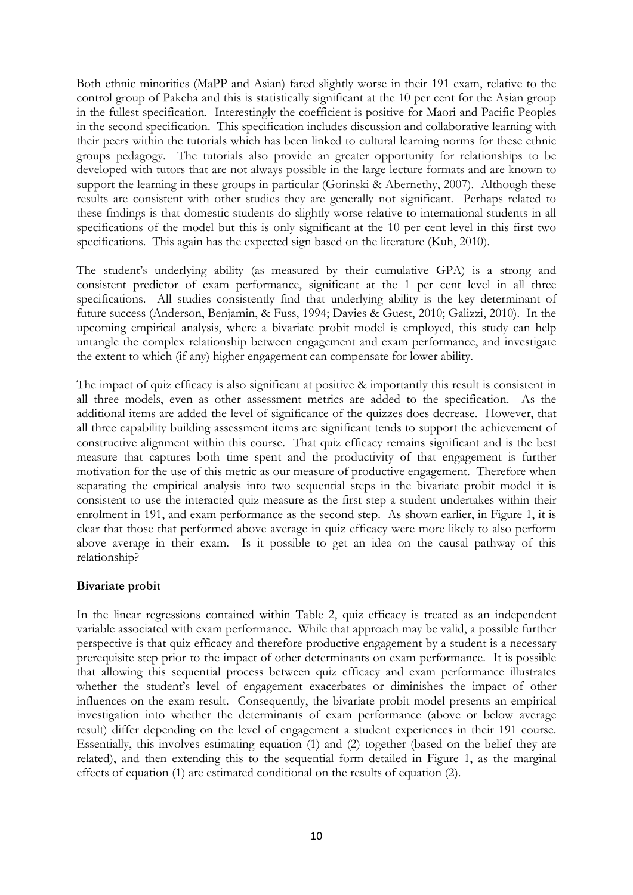Both ethnic minorities (MaPP and Asian) fared slightly worse in their 191 exam, relative to the control group of Pakeha and this is statistically significant at the 10 per cent for the Asian group in the fullest specification. Interestingly the coefficient is positive for Maori and Pacific Peoples in the second specification. This specification includes discussion and collaborative learning with their peers within the tutorials which has been linked to cultural learning norms for these ethnic groups pedagogy. The tutorials also provide an greater opportunity for relationships to be developed with tutors that are not always possible in the large lecture formats and are known to support the learning in these groups in particular [\(Gorinski & Abernethy, 2007\)](#page-13-13). Although these results are consistent with other studies they are generally not significant. Perhaps related to these findings is that domestic students do slightly worse relative to international students in all specifications of the model but this is only significant at the 10 per cent level in this first two specifications. This again has the expected sign based on the literature [\(Kuh, 2010\)](#page-14-10).

The student's underlying ability (as measured by their cumulative GPA) is a strong and consistent predictor of exam performance, significant at the 1 per cent level in all three specifications. All studies consistently find that underlying ability is the key determinant of future success [\(Anderson, Benjamin, & Fuss, 1994;](#page-13-14) [Davies & Guest, 2010;](#page-13-15) [Galizzi, 2010\)](#page-13-8). In the upcoming empirical analysis, where a bivariate probit model is employed, this study can help untangle the complex relationship between engagement and exam performance, and investigate the extent to which (if any) higher engagement can compensate for lower ability.

The impact of quiz efficacy is also significant at positive & importantly this result is consistent in all three models, even as other assessment metrics are added to the specification. As the additional items are added the level of significance of the quizzes does decrease. However, that all three capability building assessment items are significant tends to support the achievement of constructive alignment within this course. That quiz efficacy remains significant and is the best measure that captures both time spent and the productivity of that engagement is further motivation for the use of this metric as our measure of productive engagement. Therefore when separating the empirical analysis into two sequential steps in the bivariate probit model it is consistent to use the interacted quiz measure as the first step a student undertakes within their enrolment in 191, and exam performance as the second step. As shown earlier, in Figure 1, it is clear that those that performed above average in quiz efficacy were more likely to also perform above average in their exam. Is it possible to get an idea on the causal pathway of this relationship?

# **Bivariate probit**

In the linear regressions contained within Table 2, quiz efficacy is treated as an independent variable associated with exam performance. While that approach may be valid, a possible further perspective is that quiz efficacy and therefore productive engagement by a student is a necessary prerequisite step prior to the impact of other determinants on exam performance. It is possible that allowing this sequential process between quiz efficacy and exam performance illustrates whether the student's level of engagement exacerbates or diminishes the impact of other influences on the exam result. Consequently, the bivariate probit model presents an empirical investigation into whether the determinants of exam performance (above or below average result) differ depending on the level of engagement a student experiences in their 191 course. Essentially, this involves estimating equation (1) and (2) together (based on the belief they are related), and then extending this to the sequential form detailed in Figure 1, as the marginal effects of equation (1) are estimated conditional on the results of equation (2).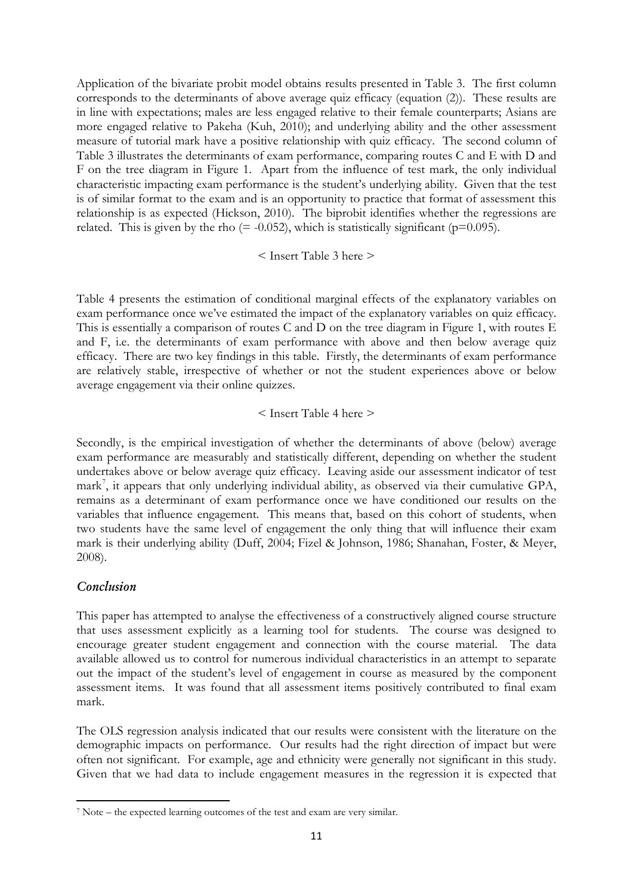Application of the bivariate probit model obtains results presented in Table 3. The first column corresponds to the determinants of above average quiz efficacy (equation (2)). These results are in line with expectations; males are less engaged relative to their female counterparts; Asians are more engaged relative to Pakeha [\(Kuh, 2010\)](#page-14-10); and underlying ability and the other assessment measure of tutorial mark have a positive relationship with quiz efficacy. The second column of Table 3 illustrates the determinants of exam performance, comparing routes C and E with D and F on the tree diagram in Figure 1. Apart from the influence of test mark, the only individual characteristic impacting exam performance is the student's underlying ability. Given that the test is of similar format to the exam and is an opportunity to practice that format of assessment this relationship is as expected [\(Hickson, 2010\)](#page-14-13). The biprobit identifies whether the regressions are related. This is given by the rho  $(= -0.052)$ , which is statistically significant (p=0.095).

### < Insert Table 3 here >

Table 4 presents the estimation of conditional marginal effects of the explanatory variables on exam performance once we've estimated the impact of the explanatory variables on quiz efficacy. This is essentially a comparison of routes C and D on the tree diagram in Figure 1, with routes E and F, i.e. the determinants of exam performance with above and then below average quiz efficacy. There are two key findings in this table. Firstly, the determinants of exam performance are relatively stable, irrespective of whether or not the student experiences above or below average engagement via their online quizzes.

### < Insert Table 4 here >

Secondly, is the empirical investigation of whether the determinants of above (below) average exam performance are measurably and statistically different, depending on whether the student undertakes above or below average quiz efficacy. Leaving aside our assessment indicator of test mark<sup>[7](#page-10-0)</sup>, it appears that only underlying individual ability, as observed via their cumulative GPA, mark is their underlying ability ([Duff, 2004](#page-13-12); [Fizel & Johnson, 1986;](#page-13-16) Shanahan, Foster, & Meyer, remains as a determinant of exam performance once we have conditioned our results on the variables that influence engagement. This means that, based on this cohort of students, when two students have the same level of engagement the only thing that will influence their exam [2008\)](#page-14-14).

# *Conclusion*

<u>.</u>

This paper has attempted to analyse the effectiveness of a constructively aligned course structure that uses assessment explicitly as a learning tool for students. The course was designed to encourage greater student engagement and connection with the course material. The data available allowed us to control for numerous individual characteristics in an attempt to separate out the impact of the student's level of engagement in course as measured by the component assessment items. It was found that all assessment items positively contributed to final exam mark.

The OLS regression analysis indicated that our results were consistent with the literature on the demographic impacts on performance. Our results had the right direction of impact but were often not significant. For example, age and ethnicity were generally not significant in this study. Given that we had data to include engagement measures in the regression it is expected that

<span id="page-10-0"></span><sup>7</sup> Note – the expected learning outcomes of the test and exam are very similar.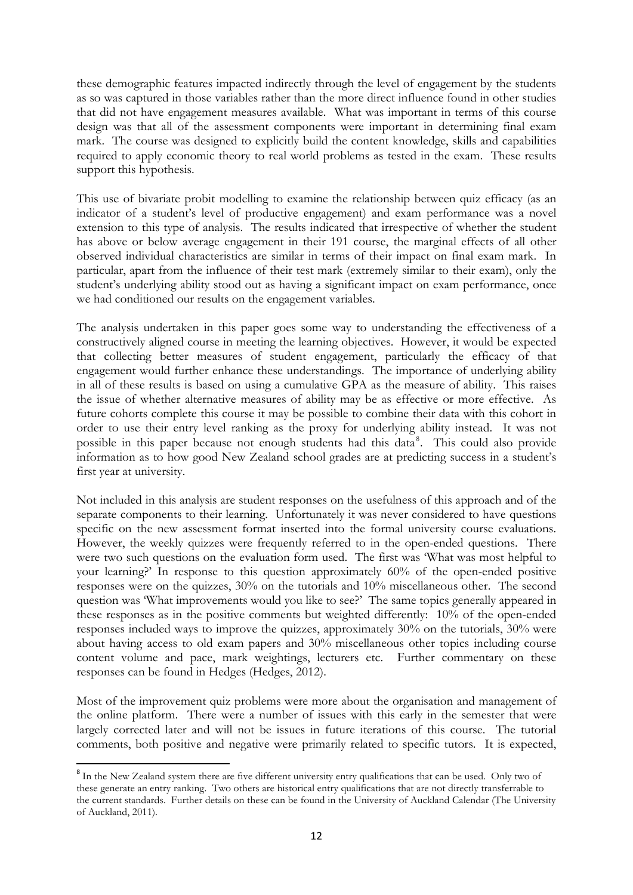these demographic features impacted indirectly through the level of engagement by the students as so was captured in those variables rather than the more direct influence found in other studies that did not have engagement measures available. What was important in terms of this course design was that all of the assessment components were important in determining final exam mark. The course was designed to explicitly build the content knowledge, skills and capabilities required to apply economic theory to real world problems as tested in the exam. These results support this hypothesis.

This use of bivariate probit modelling to examine the relationship between quiz efficacy (as an indicator of a student's level of productive engagement) and exam performance was a novel extension to this type of analysis. The results indicated that irrespective of whether the student has above or below average engagement in their 191 course, the marginal effects of all other observed individual characteristics are similar in terms of their impact on final exam mark. In particular, apart from the influence of their test mark (extremely similar to their exam), only the student's underlying ability stood out as having a significant impact on exam performance, once we had conditioned our results on the engagement variables.

The analysis undertaken in this paper goes some way to understanding the effectiveness of a constructively aligned course in meeting the learning objectives. However, it would be expected that collecting better measures of student engagement, particularly the efficacy of that engagement would further enhance these understandings. The importance of underlying ability in all of these results is based on using a cumulative GPA as the measure of ability. This raises the issue of whether alternative measures of ability may be as effective or more effective. As future cohorts complete this course it may be possible to combine their data with this cohort in order to use their entry level ranking as the proxy for underlying ability instead. It was not possible in this paper because not enough students had this data<sup>[8](#page-11-0)</sup>. This could also provide information as to how good New Zealand school grades are at predicting success in a student's first year at university.

Not included in this analysis are student responses on the usefulness of this approach and of the separate components to their learning. Unfortunately it was never considered to have questions specific on the new assessment format inserted into the formal university course evaluations. However, the weekly quizzes were frequently referred to in the open-ended questions. There were two such questions on the evaluation form used. The first was 'What was most helpful to your learning?' In response to this question approximately 60% of the open-ended positive responses were on the quizzes, 30% on the tutorials and 10% miscellaneous other. The second question was 'What improvements would you like to see?' The same topics generally appeared in these responses as in the positive comments but weighted differently: 10% of the open-ended responses included ways to improve the quizzes, approximately 30% on the tutorials, 30% were about having access to old exam papers and 30% miscellaneous other topics including course content volume and pace, mark weightings, lecturers etc. Further commentary on these responses can be found in Hedges [\(Hedges, 2012\)](#page-13-17).

Most of the improvement quiz problems were more about the organisation and management of the online platform. There were a number of issues with this early in the semester that were largely corrected later and will not be issues in future iterations of this course. The tutorial comments, both positive and negative were primarily related to specific tutors. It is expected,

<span id="page-11-0"></span><sup>&</sup>lt;sup>8</sup> In the New Zealand system there are five different university entry qualifications that can be used. Only two of these generate an entry ranking. Two others are historical entry qualifications that are not directly transferrable to the current standards. Further details on these can be found in the University of Auckland Calendar [\(The University](#page-14-15)  [of Auckland, 2011\)](#page-14-15).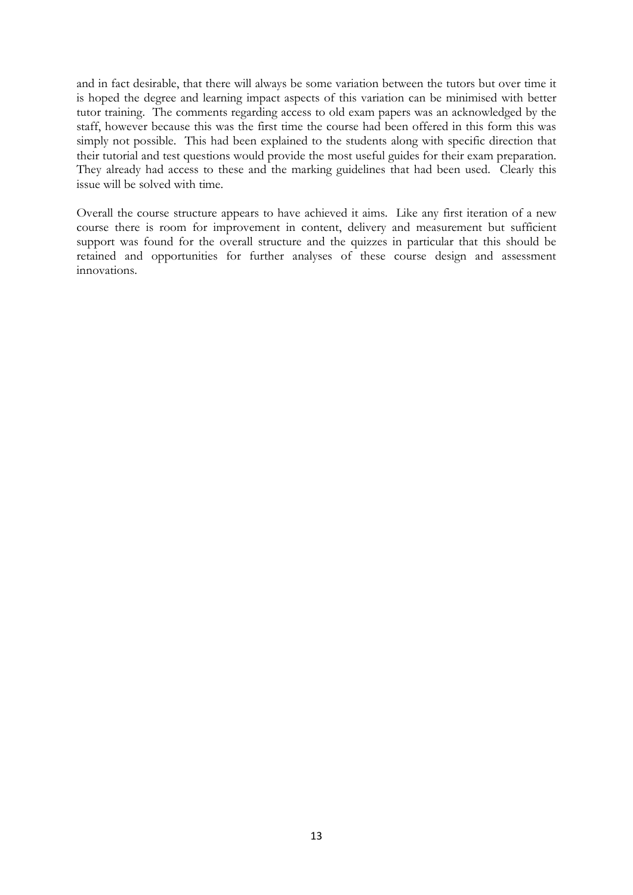and in fact desirable, that there will always be some variation between the tutors but over time it is hoped the degree and learning impact aspects of this variation can be minimised with better tutor training. The comments regarding access to old exam papers was an acknowledged by the staff, however because this was the first time the course had been offered in this form this was simply not possible. This had been explained to the students along with specific direction that their tutorial and test questions would provide the most useful guides for their exam preparation. They already had access to these and the marking guidelines that had been used. Clearly this issue will be solved with time.

Overall the course structure appears to have achieved it aims. Like any first iteration of a new course there is room for improvement in content, delivery and measurement but sufficient support was found for the overall structure and the quizzes in particular that this should be retained and opportunities for further analyses of these course design and assessment innovations.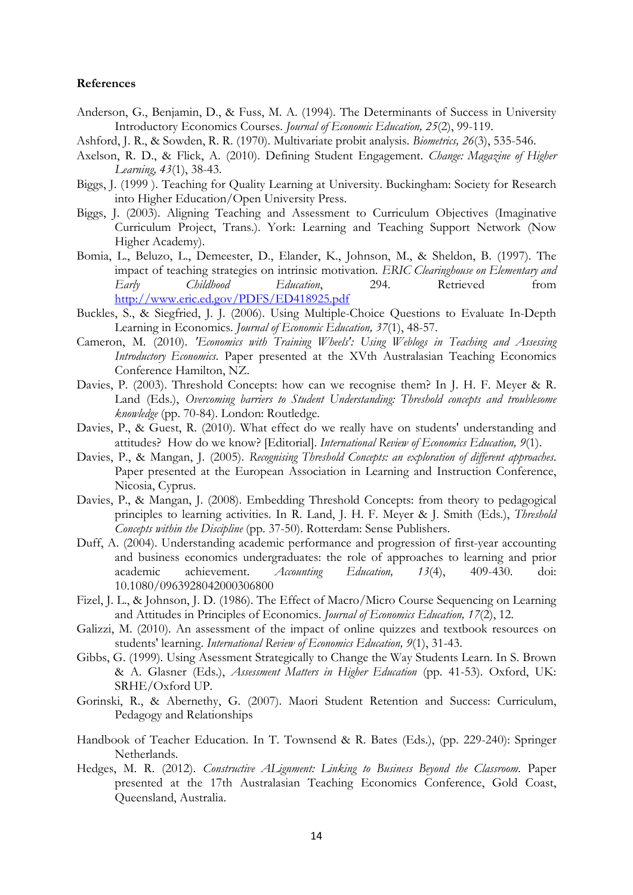### **References**

- <span id="page-13-14"></span>Anderson, G., Benjamin, D., & Fuss, M. A. (1994). The Determinants of Success in University Introductory Economics Courses. *Journal of Economic Education, 25*(2), 99-119.
- <span id="page-13-11"></span>Ashford, J. R., & Sowden, R. R. (1970). Multivariate probit analysis. *Biometrics, 26*(3), 535-546.
- <span id="page-13-7"></span>Axelson, R. D., & Flick, A. (2010). Defining Student Engagement. *Change: Magazine of Higher Learning, 43*(1), 38-43.
- <span id="page-13-2"></span>Biggs, J. (1999 ). Teaching for Quality Learning at University. Buckingham: Society for Research into Higher Education/Open University Press.
- <span id="page-13-0"></span>Biggs, J. (2003). Aligning Teaching and Assessment to Curriculum Objectives (Imaginative Curriculum Project, Trans.). York: Learning and Teaching Support Network (Now Higher Academy).
- <span id="page-13-6"></span>Bomia, L., Beluzo, L., Demeester, D., Elander, K., Johnson, M., & Sheldon, B. (1997). The impact of teaching strategies on intrinsic motivation. *ERIC Clearinghouse on Elementary and Early Childhood Education*, 294. Retrieved from <http://www.eric.ed.gov/PDFS/ED418925.pdf>
- <span id="page-13-10"></span>Buckles, S., & Siegfried, J. J. (2006). Using Multiple-Choice Questions to Evaluate In-Depth Learning in Economics. *Journal of Economic Education, 37*(1), 48-57.
- <span id="page-13-9"></span>Cameron, M. (2010). *'Economics with Training Wheels': Using Weblogs in Teaching and Assessing Introductory Economics*. Paper presented at the XVth Australasian Teaching Economics Conference Hamilton, NZ.
- <span id="page-13-3"></span>Davies, P. (2003). Threshold Concepts: how can we recognise them? In J. H. F. Meyer & R. Land (Eds.), *Overcoming barriers to Student Understanding: Threshold concepts and troublesome knowledge* (pp. 70-84). London: Routledge.
- <span id="page-13-15"></span>Davies, P., & Guest, R. (2010). What effect do we really have on students' understanding and attitudes? How do we know? [Editorial]. *International Review of Economics Education, 9*(1).
- <span id="page-13-4"></span>Davies, P., & Mangan, J. (2005). *Recognising Threshold Concepts: an exploration of different approaches*. Paper presented at the European Association in Learning and Instruction Conference, Nicosia, Cyprus.
- <span id="page-13-5"></span>Davies, P., & Mangan, J. (2008). Embedding Threshold Concepts: from theory to pedagogical principles to learning activities. In R. Land, J. H. F. Meyer & J. Smith (Eds.), *Threshold Concepts within the Discipline* (pp. 37-50). Rotterdam: Sense Publishers.
- <span id="page-13-12"></span>Duff, A. (2004). Understanding academic performance and progression of first-year accounting and business economics undergraduates: the role of approaches to learning and prior academic achievement. *Accounting Education, 13*(4), 409-430. doi: 10.1080/0963928042000306800
- <span id="page-13-16"></span>Fizel, J. L., & Johnson, J. D. (1986). The Effect of Macro/Micro Course Sequencing on Learning and Attitudes in Principles of Economics. *Journal of Economics Education, 17*(2), 12.
- <span id="page-13-8"></span>Galizzi, M. (2010). An assessment of the impact of online quizzes and textbook resources on students' learning. *International Review of Economics Education, 9*(1), 31-43.
- <span id="page-13-1"></span>Gibbs, G. (1999). Using Asessment Strategically to Change the Way Students Learn. In S. Brown & A. Glasner (Eds.), *Assessment Matters in Higher Education* (pp. 41-53). Oxford, UK: SRHE/Oxford UP.
- <span id="page-13-13"></span>Gorinski, R., & Abernethy, G. (2007). Maori Student Retention and Success: Curriculum, Pedagogy and Relationships
- Handbook of Teacher Education. In T. Townsend & R. Bates (Eds.), (pp. 229-240): Springer Netherlands.
- <span id="page-13-17"></span>Hedges, M. R. (2012). *Constructive ALignment: Linking to Business Beyond the Classroom*. Paper presented at the 17th Australasian Teaching Economics Conference, Gold Coast, Queensland, Australia.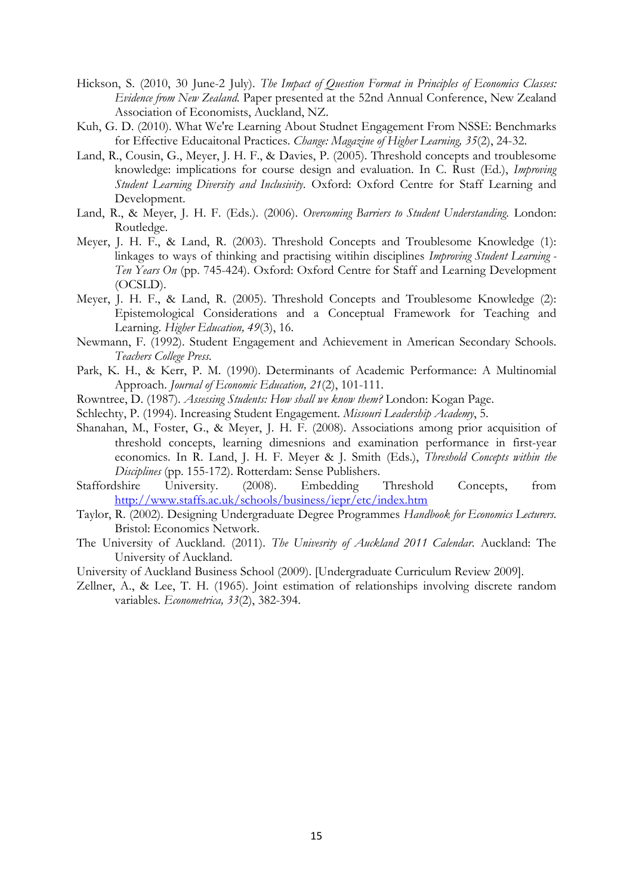- <span id="page-14-13"></span>Hickson, S. (2010, 30 June-2 July). *The Impact of Question Format in Principles of Economics Classes: Evidence from New Zealand.* Paper presented at the 52nd Annual Conference, New Zealand Association of Economists, Auckland, NZ.
- <span id="page-14-10"></span>Kuh, G. D. (2010). What We're Learning About Studnet Engagement From NSSE: Benchmarks for Effective Educaitonal Practices. *Change: Magazine of Higher Learning, 35*(2), 24-32.
- <span id="page-14-3"></span>Land, R., Cousin, G., Meyer, J. H. F., & Davies, P. (2005). Threshold concepts and troublesome knowledge: implications for course design and evaluation. In C. Rust (Ed.), *Improving Student Learning Diversity and Inclusivity*. Oxford: Oxford Centre for Staff Learning and Development.
- <span id="page-14-4"></span>Land, R., & Meyer, J. H. F. (Eds.). (2006). *Overcoming Barriers to Student Understanding*. London: Routledge.
- <span id="page-14-7"></span>Meyer, J. H. F., & Land, R. (2003). Threshold Concepts and Troublesome Knowledge (1): linkages to ways of thinking and practising witihin disciplines *Improving Student Learning - Ten Years On* (pp. 745-424). Oxford: Oxford Centre for Staff and Learning Development (OCSLD).
- <span id="page-14-5"></span>Meyer, J. H. F., & Land, R. (2005). Threshold Concepts and Troublesome Knowledge (2): Epistemological Considerations and a Conceptual Framework for Teaching and Learning. *Higher Education, 49*(3), 16.
- <span id="page-14-8"></span>Newmann, F. (1992). Student Engagement and Achievement in American Secondary Schools. *Teachers College Press*.
- <span id="page-14-11"></span>Park, K. H., & Kerr, P. M. (1990). Determinants of Academic Performance: A Multinomial Approach. *Journal of Economic Education, 21*(2), 101-111.
- <span id="page-14-1"></span>Rowntree, D. (1987). *Assessing Students: How shall we know them?* London: Kogan Page.
- <span id="page-14-9"></span>Schlechty, P. (1994). Increasing Student Engagement. *Missouri Leadership Academy*, 5.
- <span id="page-14-14"></span>Shanahan, M., Foster, G., & Meyer, J. H. F. (2008). Associations among prior acquisition of threshold concepts, learning dimesnions and examination performance in first-year economics. In R. Land, J. H. F. Meyer & J. Smith (Eds.), *Threshold Concepts within the Disciplines* (pp. 155-172). Rotterdam: Sense Publishers.
- <span id="page-14-6"></span>Staffordshire University. (2008). Embedding Threshold Concepts, from <http://www.staffs.ac.uk/schools/business/iepr/etc/index.htm>
- <span id="page-14-2"></span>Taylor, R. (2002). Designing Undergraduate Degree Programmes *Handbook for Economics Lecturers*. Bristol: Economics Network.
- <span id="page-14-15"></span>The University of Auckland. (2011). *The Univesrity of Auckland 2011 Calendar*. Auckland: The University of Auckland.
- <span id="page-14-0"></span>University of Auckland Business School (2009). [Undergraduate Curriculum Review 2009].
- <span id="page-14-12"></span>Zellner, A., & Lee, T. H. (1965). Joint estimation of relationships involving discrete random variables. *Econometrica, 33*(2), 382-394.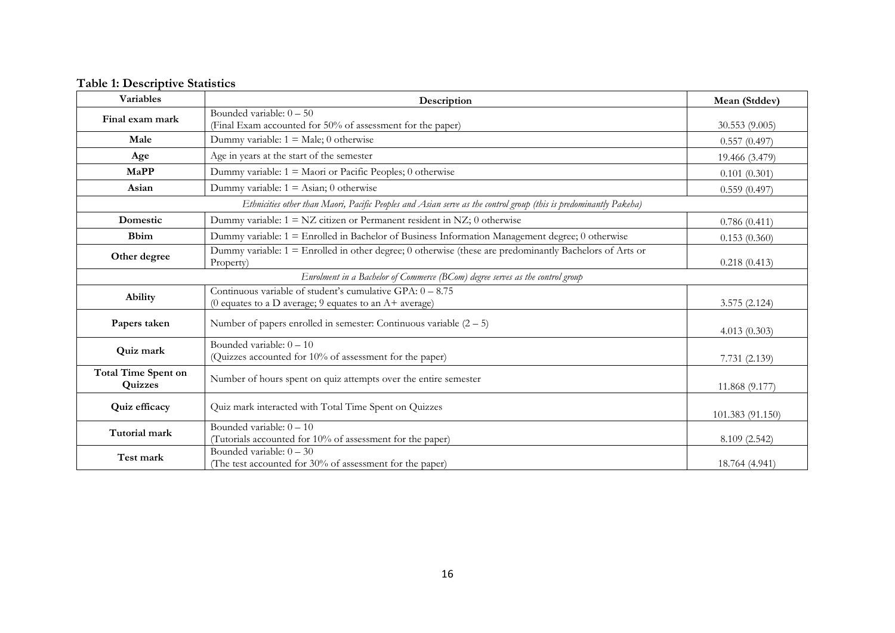| <b>Table 1: Descriptive Statistics</b> |  |
|----------------------------------------|--|
|----------------------------------------|--|

| Variables                                                                                                         | Description                                                                                                             | Mean (Stddev)    |  |  |
|-------------------------------------------------------------------------------------------------------------------|-------------------------------------------------------------------------------------------------------------------------|------------------|--|--|
| Final exam mark                                                                                                   | Bounded variable: $0 - 50$<br>(Final Exam accounted for 50% of assessment for the paper)                                | 30.553(9.005)    |  |  |
| Male                                                                                                              | Dummy variable: $1 = Male$ ; 0 otherwise                                                                                | 0.557(0.497)     |  |  |
| Age                                                                                                               | Age in years at the start of the semester                                                                               | 19.466 (3.479)   |  |  |
| MaPP                                                                                                              | Dummy variable: $1 =$ Maori or Pacific Peoples; 0 otherwise                                                             | 0.101(0.301)     |  |  |
| Asian                                                                                                             | Dummy variable: $1 =$ Asian; 0 otherwise                                                                                | 0.559(0.497)     |  |  |
| Ethnicities other than Maori, Pacific Peoples and Asian serve as the control group (this is predominantly Pakeha) |                                                                                                                         |                  |  |  |
| Domestic                                                                                                          | Dummy variable: $1 = NZ$ citizen or Permanent resident in NZ; 0 otherwise                                               | 0.786(0.411)     |  |  |
| <b>B</b> bim                                                                                                      | Dummy variable: 1 = Enrolled in Bachelor of Business Information Management degree; 0 otherwise                         | 0.153(0.360)     |  |  |
| Other degree                                                                                                      | Dummy variable: 1 = Enrolled in other degree; 0 otherwise (these are predominantly Bachelors of Arts or<br>Property)    | 0.218(0.413)     |  |  |
|                                                                                                                   | Enrolment in a Bachelor of Commerce (BCom) degree serves as the control group                                           |                  |  |  |
| Ability                                                                                                           | Continuous variable of student's cumulative GPA: $0 - 8.75$<br>(0 equates to a D average; 9 equates to an $A+$ average) | 3.575 (2.124)    |  |  |
| Papers taken                                                                                                      | Number of papers enrolled in semester: Continuous variable $(2 - 5)$                                                    | 4.013(0.303)     |  |  |
| Quiz mark                                                                                                         | Bounded variable: $0 - 10$<br>(Quizzes accounted for 10% of assessment for the paper)                                   | 7.731 (2.139)    |  |  |
| <b>Total Time Spent on</b><br>Quizzes                                                                             | Number of hours spent on quiz attempts over the entire semester                                                         | 11.868 (9.177)   |  |  |
| Quiz efficacy                                                                                                     | Quiz mark interacted with Total Time Spent on Quizzes                                                                   | 101.383 (91.150) |  |  |
| Tutorial mark                                                                                                     | Bounded variable: $0 - 10$<br>(Tutorials accounted for 10% of assessment for the paper)                                 | 8.109 (2.542)    |  |  |
| Test mark                                                                                                         | Bounded variable: $0 - 30$<br>(The test accounted for 30% of assessment for the paper)                                  | 18.764 (4.941)   |  |  |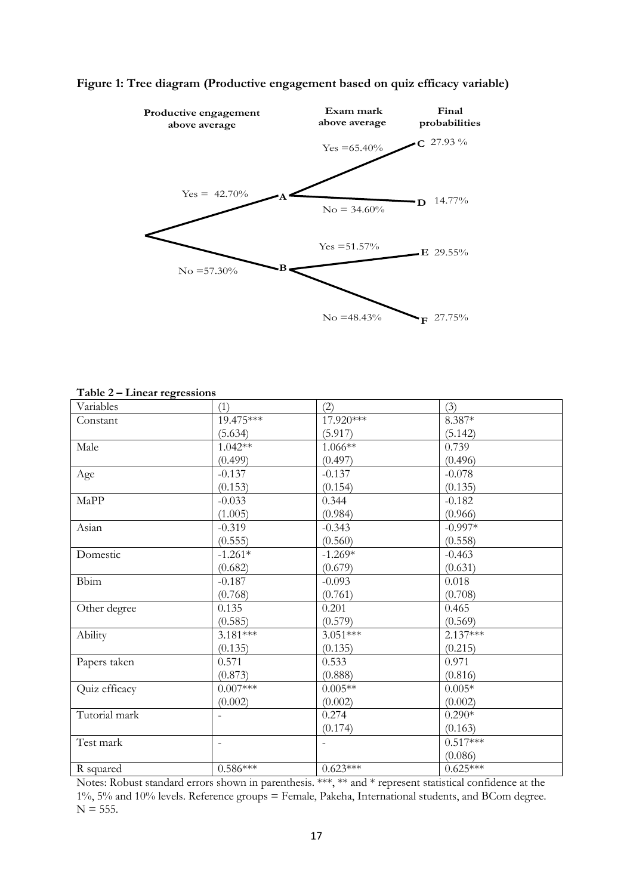

# **Figure 1: Tree diagram (Productive engagement based on quiz efficacy variable)**

| ᇰ<br>Variables | (1)            | (2)                      | (3)        |
|----------------|----------------|--------------------------|------------|
| Constant       | 19.475***      | 17.920***                | $8.387*$   |
|                | (5.634)        | (5.917)                  | (5.142)    |
| Male           | $1.042**$      | $1.066**$                | 0.739      |
|                | (0.499)        | (0.497)                  | (0.496)    |
| Age            | $-0.137$       | $-0.137$                 | $-0.078$   |
|                | (0.153)        | (0.154)                  | (0.135)    |
| MaPP           | $-0.033$       | 0.344                    | $-0.182$   |
|                | (1.005)        | (0.984)                  | (0.966)    |
| Asian          | $-0.319$       | $-0.343$                 | $-0.997*$  |
|                | (0.555)        | (0.560)                  | (0.558)    |
| Domestic       | $-1.261*$      | $-1.269*$                | $-0.463$   |
|                | (0.682)        | (0.679)                  | (0.631)    |
| <b>Bbim</b>    | $-0.187$       | $-0.093$                 | 0.018      |
|                | (0.768)        | (0.761)                  | (0.708)    |
| Other degree   | 0.135          | 0.201                    | 0.465      |
|                | (0.585)        | (0.579)                  | (0.569)    |
| Ability        | $3.181***$     | $3.051***$               | $2.137***$ |
|                | (0.135)        | (0.135)                  | (0.215)    |
| Papers taken   | 0.571          | 0.533                    | 0.971      |
|                | (0.873)        | (0.888)                  | (0.816)    |
| Quiz efficacy  | $0.007***$     | $0.005**$                | $0.005*$   |
|                | (0.002)        | (0.002)                  | (0.002)    |
| Tutorial mark  |                | 0.274                    | $0.290*$   |
|                |                | (0.174)                  | (0.163)    |
| Test mark      | $\blacksquare$ | $\overline{\phantom{a}}$ | $0.517***$ |
|                |                |                          | (0.086)    |
| R squared      | $0.586***$     | $0.623***$               | $0.625***$ |

**Table 2 – Linear regressions**

Notes: Robust standard errors shown in parenthesis. \*\*\*, \*\* and \* represent statistical confidence at the 1%, 5% and 10% levels. Reference groups = Female, Pakeha, International students, and BCom degree.  $N = 555$ .